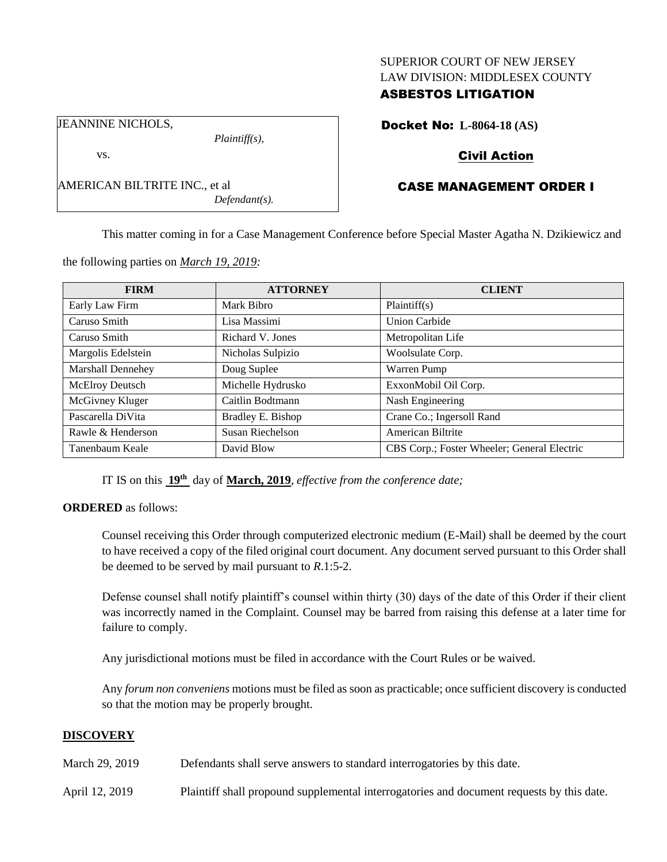### SUPERIOR COURT OF NEW JERSEY LAW DIVISION: MIDDLESEX COUNTY

# ASBESTOS LITIGATION

JEANNINE NICHOLS,

vs.

AMERICAN BILTRITE INC., et al *Defendant(s).*

*Plaintiff(s),*

Docket No: **L-8064-18 (AS)**

# Civil Action

# CASE MANAGEMENT ORDER I

This matter coming in for a Case Management Conference before Special Master Agatha N. Dzikiewicz and

**FIRM ATTORNEY CLIENT** Early Law Firm Mark Bibro Plaintiff(s) Caruso Smith Lisa Massimi Union Carbide Caruso Smith Richard V. Jones Metropolitan Life Margolis Edelstein Nicholas Sulpizio Noolsulate Corp. Marshall Dennehey Doug Suplee Warren Pump McElroy Deutsch Michelle Hydrusko ExxonMobil Oil Corp. McGivney Kluger | Caitlin Bodtmann | Nash Engineering Pascarella DiVita Bradley E. Bishop Crane Co.; Ingersoll Rand Rawle & Henderson Susan Riechelson American Biltrite Tanenbaum Keale David Blow CBS Corp.; Foster Wheeler; General Electric

the following parties on *March 19, 2019:*

IT IS on this **19th** day of **March, 2019**, *effective from the conference date;*

### **ORDERED** as follows:

Counsel receiving this Order through computerized electronic medium (E-Mail) shall be deemed by the court to have received a copy of the filed original court document. Any document served pursuant to this Order shall be deemed to be served by mail pursuant to *R*.1:5-2.

Defense counsel shall notify plaintiff's counsel within thirty (30) days of the date of this Order if their client was incorrectly named in the Complaint. Counsel may be barred from raising this defense at a later time for failure to comply.

Any jurisdictional motions must be filed in accordance with the Court Rules or be waived.

Any *forum non conveniens* motions must be filed as soon as practicable; once sufficient discovery is conducted so that the motion may be properly brought.

### **DISCOVERY**

March 29, 2019 Defendants shall serve answers to standard interrogatories by this date.

April 12, 2019 Plaintiff shall propound supplemental interrogatories and document requests by this date.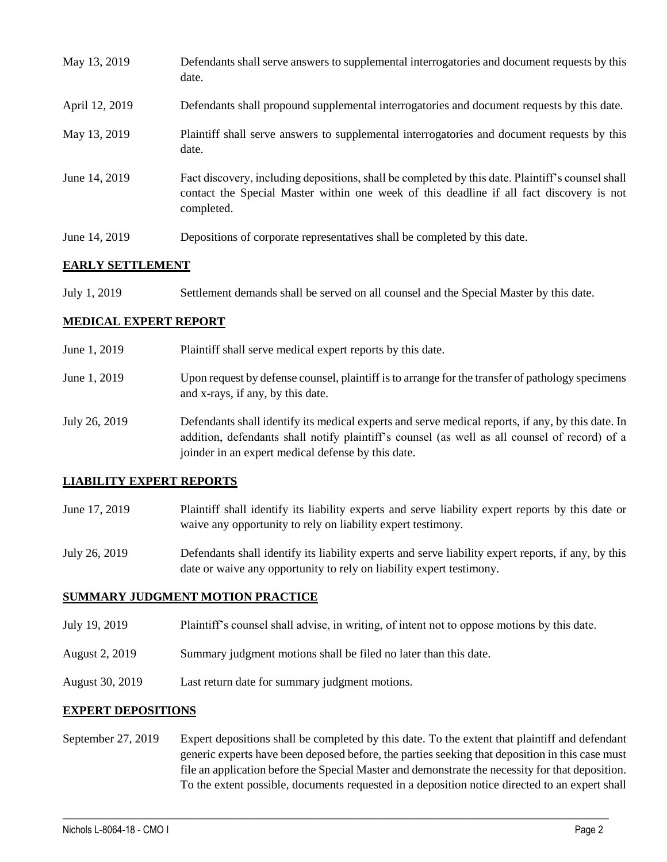| May 13, 2019   | Defendants shall serve answers to supplemental interrogatories and document requests by this<br>date.                                                                                                       |
|----------------|-------------------------------------------------------------------------------------------------------------------------------------------------------------------------------------------------------------|
| April 12, 2019 | Defendants shall propound supplemental interrogatories and document requests by this date.                                                                                                                  |
| May 13, 2019   | Plaintiff shall serve answers to supplemental interrogatories and document requests by this<br>date.                                                                                                        |
| June 14, 2019  | Fact discovery, including depositions, shall be completed by this date. Plaintiff's counsel shall<br>contact the Special Master within one week of this deadline if all fact discovery is not<br>completed. |
| June 14, 2019  | Depositions of corporate representatives shall be completed by this date.                                                                                                                                   |

### **EARLY SETTLEMENT**

July 1, 2019 Settlement demands shall be served on all counsel and the Special Master by this date.

### **MEDICAL EXPERT REPORT**

| June 1, 2019  | Plaintiff shall serve medical expert reports by this date.                                                                                                                                                                                               |
|---------------|----------------------------------------------------------------------------------------------------------------------------------------------------------------------------------------------------------------------------------------------------------|
| June 1, 2019  | Upon request by defense counsel, plaintiff is to arrange for the transfer of pathology specimens<br>and x-rays, if any, by this date.                                                                                                                    |
| July 26, 2019 | Defendants shall identify its medical experts and serve medical reports, if any, by this date. In<br>addition, defendants shall notify plaintiff's counsel (as well as all counsel of record) of a<br>joinder in an expert medical defense by this date. |

### **LIABILITY EXPERT REPORTS**

- June 17, 2019 Plaintiff shall identify its liability experts and serve liability expert reports by this date or waive any opportunity to rely on liability expert testimony.
- July 26, 2019 Defendants shall identify its liability experts and serve liability expert reports, if any, by this date or waive any opportunity to rely on liability expert testimony.

### **SUMMARY JUDGMENT MOTION PRACTICE**

- July 19, 2019 Plaintiff's counsel shall advise, in writing, of intent not to oppose motions by this date.
- August 2, 2019 Summary judgment motions shall be filed no later than this date.
- August 30, 2019 Last return date for summary judgment motions.

### **EXPERT DEPOSITIONS**

September 27, 2019 Expert depositions shall be completed by this date. To the extent that plaintiff and defendant generic experts have been deposed before, the parties seeking that deposition in this case must file an application before the Special Master and demonstrate the necessity for that deposition. To the extent possible, documents requested in a deposition notice directed to an expert shall

 $\_$  ,  $\_$  ,  $\_$  ,  $\_$  ,  $\_$  ,  $\_$  ,  $\_$  ,  $\_$  ,  $\_$  ,  $\_$  ,  $\_$  ,  $\_$  ,  $\_$  ,  $\_$  ,  $\_$  ,  $\_$  ,  $\_$  ,  $\_$  ,  $\_$  ,  $\_$  ,  $\_$  ,  $\_$  ,  $\_$  ,  $\_$  ,  $\_$  ,  $\_$  ,  $\_$  ,  $\_$  ,  $\_$  ,  $\_$  ,  $\_$  ,  $\_$  ,  $\_$  ,  $\_$  ,  $\_$  ,  $\_$  ,  $\_$  ,